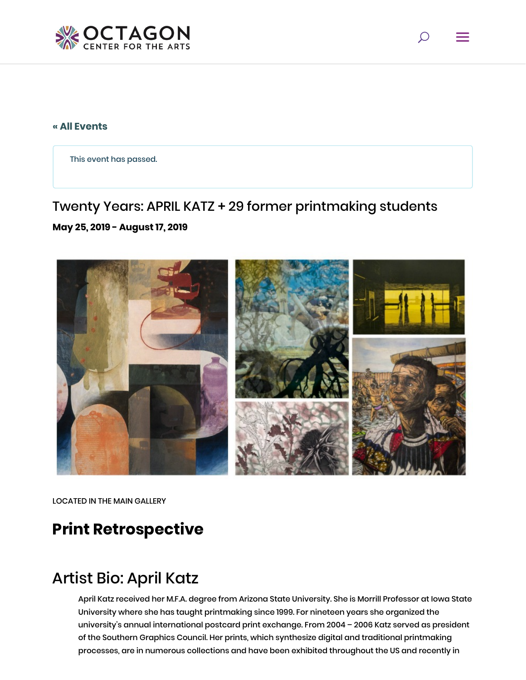

#### **[« All Events](https://octagonarts.org/events/)**

This event has passed.

## Twenty Years: APRIL KATZ + 29 former printmaking students

#### **May 25, 2019 - August 17, 2019**



LOCATED IN THE MAIN GALLERY

# **Print Retrospective**

# Artist Bio: April Katz

April Katz received her M.F.A. degree from Arizona State University. She is Morrill Professor at Iowa State University where she has taught printmaking since 1999. For nineteen years she organized the university's annual international postcard print exchange. From 2004 – 2006 Katz served as president of the Southern Graphics Council. Her prints, which synthesize digital and traditional printmaking processes, are in numerous collections and have been exhibited throughout the US and recently in

 $\circ$  =